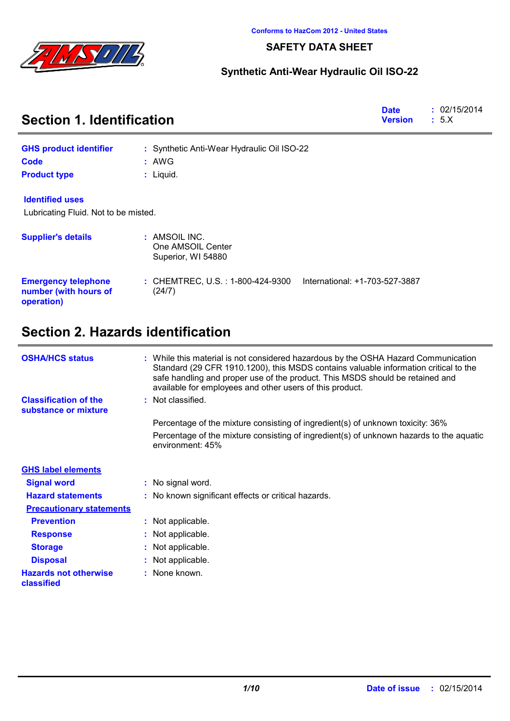

### **SAFETY DATA SHEET**

## **Synthetic Anti-Wear Hydraulic Oil ISO-22**

| <b>Section 1. Identification</b>                                  | <b>Date</b><br><b>Version</b>                                                 | : 02/15/2014<br>: 5.X |  |
|-------------------------------------------------------------------|-------------------------------------------------------------------------------|-----------------------|--|
| <b>GHS product identifier</b>                                     | : Synthetic Anti-Wear Hydraulic Oil ISO-22                                    |                       |  |
| Code                                                              | : AWG                                                                         |                       |  |
| <b>Product type</b>                                               | $:$ Liquid.                                                                   |                       |  |
| <b>Identified uses</b>                                            |                                                                               |                       |  |
| Lubricating Fluid. Not to be misted.                              |                                                                               |                       |  |
| <b>Supplier's details</b>                                         | : AMSOIL INC.<br>One AMSOIL Center<br>Superior, WI 54880                      |                       |  |
| <b>Emergency telephone</b><br>number (with hours of<br>operation) | International: +1-703-527-3887<br>: CHEMTREC, U.S. : 1-800-424-9300<br>(24/7) |                       |  |

# **Section 2. Hazards identification**

| <b>OSHA/HCS status</b>                               | : While this material is not considered hazardous by the OSHA Hazard Communication<br>Standard (29 CFR 1910.1200), this MSDS contains valuable information critical to the<br>safe handling and proper use of the product. This MSDS should be retained and<br>available for employees and other users of this product. |
|------------------------------------------------------|-------------------------------------------------------------------------------------------------------------------------------------------------------------------------------------------------------------------------------------------------------------------------------------------------------------------------|
| <b>Classification of the</b><br>substance or mixture | : Not classified.                                                                                                                                                                                                                                                                                                       |
|                                                      | Percentage of the mixture consisting of ingredient(s) of unknown toxicity: 36%                                                                                                                                                                                                                                          |
|                                                      | Percentage of the mixture consisting of ingredient(s) of unknown hazards to the aquatic<br>environment: 45%                                                                                                                                                                                                             |
| <b>GHS label elements</b>                            |                                                                                                                                                                                                                                                                                                                         |
| <b>Signal word</b>                                   | : No signal word.                                                                                                                                                                                                                                                                                                       |
| <b>Hazard statements</b>                             | : No known significant effects or critical hazards.                                                                                                                                                                                                                                                                     |
| <b>Precautionary statements</b>                      |                                                                                                                                                                                                                                                                                                                         |
| <b>Prevention</b>                                    | : Not applicable.                                                                                                                                                                                                                                                                                                       |
| <b>Response</b>                                      | : Not applicable.                                                                                                                                                                                                                                                                                                       |
| <b>Storage</b>                                       | : Not applicable.                                                                                                                                                                                                                                                                                                       |
| <b>Disposal</b>                                      | : Not applicable.                                                                                                                                                                                                                                                                                                       |
| <b>Hazards not otherwise</b><br>classified           | : None known.                                                                                                                                                                                                                                                                                                           |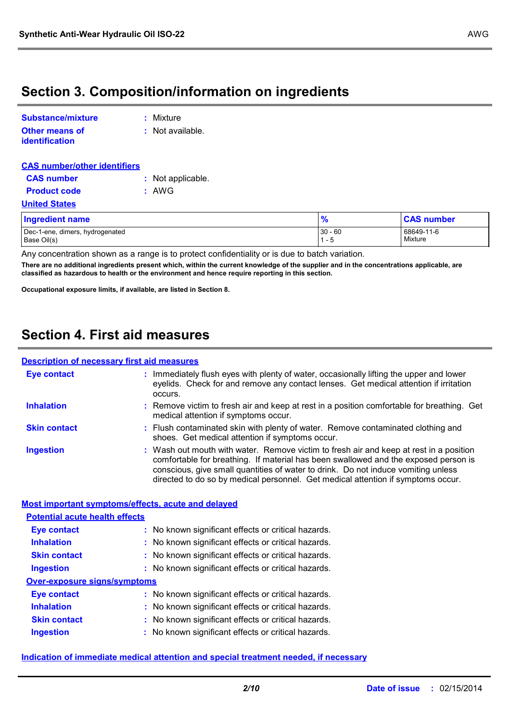# **Section 3. Composition/information on ingredients**

| Substance/mixture                       | : Mixture        |
|-----------------------------------------|------------------|
| Other means of<br><b>identification</b> | : Not available. |

| <b>CAS number/other identifiers</b>            |                   |                    |                       |
|------------------------------------------------|-------------------|--------------------|-----------------------|
| <b>CAS number</b>                              | : Not applicable. |                    |                       |
| <b>Product code</b>                            | : AWG             |                    |                       |
| <b>United States</b>                           |                   |                    |                       |
| <b>Ingredient name</b>                         |                   | $\frac{9}{6}$      | <b>CAS number</b>     |
| Dec-1-ene, dimers, hydrogenated<br>Base Oil(s) |                   | $30 - 60$<br>1 - 5 | 68649-11-6<br>Mixture |

Any concentration shown as a range is to protect confidentiality or is due to batch variation.

**There are no additional ingredients present which, within the current knowledge of the supplier and in the concentrations applicable, are classified as hazardous to health or the environment and hence require reporting in this section.**

**Occupational exposure limits, if available, are listed in Section 8.**

# **Section 4. First aid measures**

### **Description of necessary first aid measures**

| <b>Eye contact</b>  | : Immediately flush eyes with plenty of water, occasionally lifting the upper and lower<br>eyelids. Check for and remove any contact lenses. Get medical attention if irritation<br>occurs.                                                                                                                                                            |
|---------------------|--------------------------------------------------------------------------------------------------------------------------------------------------------------------------------------------------------------------------------------------------------------------------------------------------------------------------------------------------------|
| <b>Inhalation</b>   | : Remove victim to fresh air and keep at rest in a position comfortable for breathing. Get<br>medical attention if symptoms occur.                                                                                                                                                                                                                     |
| <b>Skin contact</b> | : Flush contaminated skin with plenty of water. Remove contaminated clothing and<br>shoes. Get medical attention if symptoms occur.                                                                                                                                                                                                                    |
| <b>Ingestion</b>    | : Wash out mouth with water. Remove victim to fresh air and keep at rest in a position<br>comfortable for breathing. If material has been swallowed and the exposed person is<br>conscious, give small quantities of water to drink. Do not induce vomiting unless<br>directed to do so by medical personnel. Get medical attention if symptoms occur. |

### **Most important symptoms/effects, acute and delayed**

| <b>Potential acute health effects</b> |                                                     |
|---------------------------------------|-----------------------------------------------------|
| <b>Eye contact</b>                    | : No known significant effects or critical hazards. |
| <b>Inhalation</b>                     | : No known significant effects or critical hazards. |
| <b>Skin contact</b>                   | : No known significant effects or critical hazards. |
| <b>Ingestion</b>                      | : No known significant effects or critical hazards. |
| <b>Over-exposure signs/symptoms</b>   |                                                     |
| <b>Eye contact</b>                    | : No known significant effects or critical hazards. |
| <b>Inhalation</b>                     | : No known significant effects or critical hazards. |
| <b>Skin contact</b>                   | : No known significant effects or critical hazards. |
| <b>Ingestion</b>                      | : No known significant effects or critical hazards. |

### **Indication of immediate medical attention and special treatment needed, if necessary**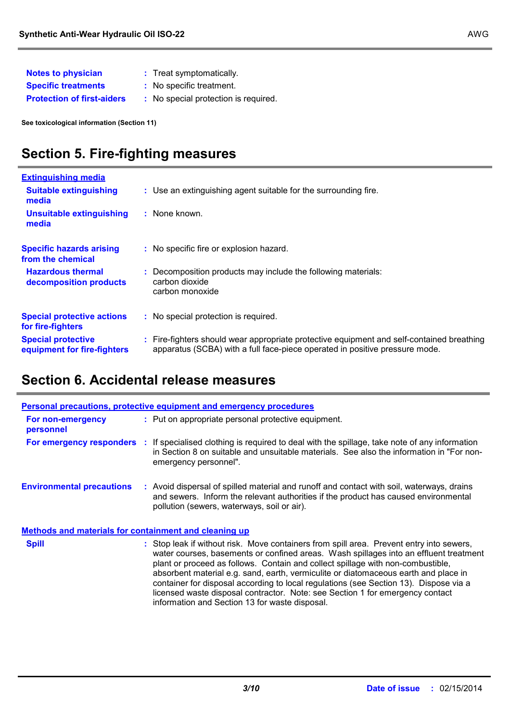| <b>Notes to physician</b>         | : Treat symptomatically.             |
|-----------------------------------|--------------------------------------|
| <b>Specific treatments</b>        | : No specific treatment.             |
| <b>Protection of first-aiders</b> | : No special protection is required. |

**See toxicological information (Section 11)**

# **Section 5. Fire-fighting measures**

| <b>Extinguishing media</b>                               |                                                                                                                                                                          |
|----------------------------------------------------------|--------------------------------------------------------------------------------------------------------------------------------------------------------------------------|
| <b>Suitable extinguishing</b><br>media                   | : Use an extinguishing agent suitable for the surrounding fire.                                                                                                          |
| <b>Unsuitable extinguishing</b><br>media                 | : None known.                                                                                                                                                            |
| <b>Specific hazards arising</b><br>from the chemical     | : No specific fire or explosion hazard.                                                                                                                                  |
| <b>Hazardous thermal</b><br>decomposition products       | Decomposition products may include the following materials:<br>carbon dioxide<br>carbon monoxide                                                                         |
| <b>Special protective actions</b><br>for fire-fighters   | : No special protection is required.                                                                                                                                     |
| <b>Special protective</b><br>equipment for fire-fighters | : Fire-fighters should wear appropriate protective equipment and self-contained breathing<br>apparatus (SCBA) with a full face-piece operated in positive pressure mode. |

# **Section 6. Accidental release measures**

|                                                              |    | <b>Personal precautions, protective equipment and emergency procedures</b>                                                                                                                                                                                                                                                                                                                                                                                                                                                            |
|--------------------------------------------------------------|----|---------------------------------------------------------------------------------------------------------------------------------------------------------------------------------------------------------------------------------------------------------------------------------------------------------------------------------------------------------------------------------------------------------------------------------------------------------------------------------------------------------------------------------------|
| For non-emergency<br>personnel                               |    | : Put on appropriate personal protective equipment.                                                                                                                                                                                                                                                                                                                                                                                                                                                                                   |
| For emergency responders                                     | Æ. | If specialised clothing is required to deal with the spillage, take note of any information<br>in Section 8 on suitable and unsuitable materials. See also the information in "For non-<br>emergency personnel".                                                                                                                                                                                                                                                                                                                      |
| <b>Environmental precautions</b>                             |    | : Avoid dispersal of spilled material and runoff and contact with soil, waterways, drains<br>and sewers. Inform the relevant authorities if the product has caused environmental<br>pollution (sewers, waterways, soil or air).                                                                                                                                                                                                                                                                                                       |
| <b>Methods and materials for containment and cleaning up</b> |    |                                                                                                                                                                                                                                                                                                                                                                                                                                                                                                                                       |
| <b>Spill</b>                                                 |    | : Stop leak if without risk. Move containers from spill area. Prevent entry into sewers,<br>water courses, basements or confined areas. Wash spillages into an effluent treatment<br>plant or proceed as follows. Contain and collect spillage with non-combustible,<br>absorbent material e.g. sand, earth, vermiculite or diatomaceous earth and place in<br>container for disposal according to local regulations (see Section 13). Dispose via a<br>licensed waste disposal contractor. Note: see Section 1 for emergency contact |

information and Section 13 for waste disposal.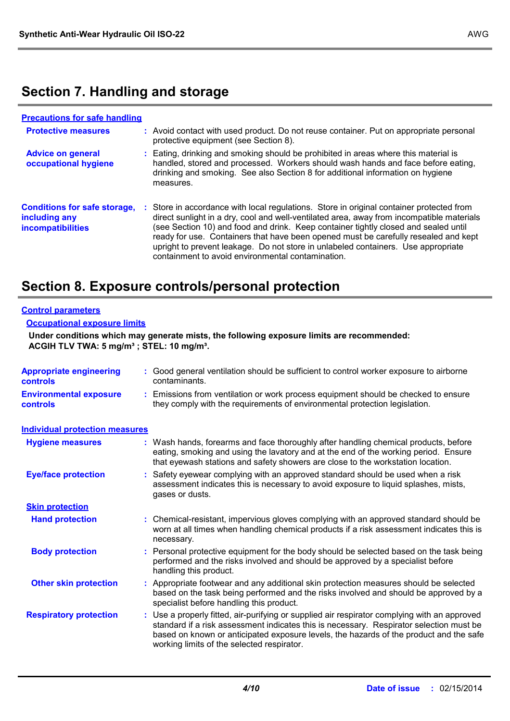# **Section 7. Handling and storage**

| <b>Precautions for safe handling</b>                                             |    |                                                                                                                                                                                                                                                                                                                                                                                                                                                                                                             |
|----------------------------------------------------------------------------------|----|-------------------------------------------------------------------------------------------------------------------------------------------------------------------------------------------------------------------------------------------------------------------------------------------------------------------------------------------------------------------------------------------------------------------------------------------------------------------------------------------------------------|
| <b>Protective measures</b>                                                       |    | : Avoid contact with used product. Do not reuse container. Put on appropriate personal<br>protective equipment (see Section 8).                                                                                                                                                                                                                                                                                                                                                                             |
| <b>Advice on general</b><br>occupational hygiene                                 |    | Eating, drinking and smoking should be prohibited in areas where this material is<br>handled, stored and processed. Workers should wash hands and face before eating,<br>drinking and smoking. See also Section 8 for additional information on hygiene<br>measures.                                                                                                                                                                                                                                        |
| <b>Conditions for safe storage,</b><br>including any<br><b>incompatibilities</b> | И. | Store in accordance with local regulations. Store in original container protected from<br>direct sunlight in a dry, cool and well-ventilated area, away from incompatible materials<br>(see Section 10) and food and drink. Keep container tightly closed and sealed until<br>ready for use. Containers that have been opened must be carefully resealed and kept<br>upright to prevent leakage. Do not store in unlabeled containers. Use appropriate<br>containment to avoid environmental contamination. |

# **Section 8. Exposure controls/personal protection**

#### **Control parameters**

#### **Occupational exposure limits**

**Under conditions which may generate mists, the following exposure limits are recommended: ACGIH TLV TWA: 5 mg/m³ ; STEL: 10 mg/m³.**

| <b>Appropriate engineering</b><br><b>controls</b> | : Good general ventilation should be sufficient to control worker exposure to airborne<br>contaminants.                                                                                                                                                                                                                       |
|---------------------------------------------------|-------------------------------------------------------------------------------------------------------------------------------------------------------------------------------------------------------------------------------------------------------------------------------------------------------------------------------|
| <b>Environmental exposure</b><br>controls         | : Emissions from ventilation or work process equipment should be checked to ensure<br>they comply with the requirements of environmental protection legislation.                                                                                                                                                              |
| <b>Individual protection measures</b>             |                                                                                                                                                                                                                                                                                                                               |
| <b>Hygiene measures</b>                           | Wash hands, forearms and face thoroughly after handling chemical products, before<br>eating, smoking and using the lavatory and at the end of the working period. Ensure<br>that eyewash stations and safety showers are close to the workstation location.                                                                   |
| <b>Eye/face protection</b>                        | : Safety eyewear complying with an approved standard should be used when a risk<br>assessment indicates this is necessary to avoid exposure to liquid splashes, mists,<br>gases or dusts.                                                                                                                                     |
| <b>Skin protection</b>                            |                                                                                                                                                                                                                                                                                                                               |
| <b>Hand protection</b>                            | : Chemical-resistant, impervious gloves complying with an approved standard should be<br>worn at all times when handling chemical products if a risk assessment indicates this is<br>necessary.                                                                                                                               |
| <b>Body protection</b>                            | Personal protective equipment for the body should be selected based on the task being<br>performed and the risks involved and should be approved by a specialist before<br>handling this product.                                                                                                                             |
| <b>Other skin protection</b>                      | : Appropriate footwear and any additional skin protection measures should be selected<br>based on the task being performed and the risks involved and should be approved by a<br>specialist before handling this product.                                                                                                     |
| <b>Respiratory protection</b>                     | Use a properly fitted, air-purifying or supplied air respirator complying with an approved<br>standard if a risk assessment indicates this is necessary. Respirator selection must be<br>based on known or anticipated exposure levels, the hazards of the product and the safe<br>working limits of the selected respirator. |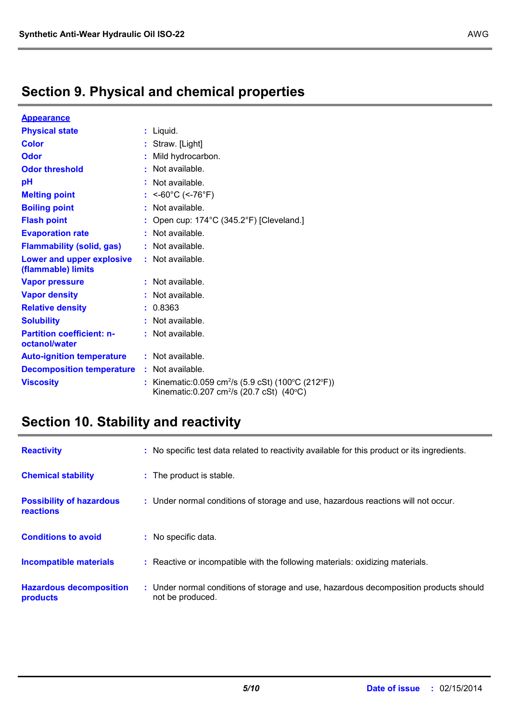| <b>Appearance</b>                                 |                                                                                                                        |
|---------------------------------------------------|------------------------------------------------------------------------------------------------------------------------|
| <b>Physical state</b>                             | : Liquid.                                                                                                              |
| <b>Color</b>                                      | : Straw. [Light]                                                                                                       |
| Odor                                              | Mild hydrocarbon.                                                                                                      |
| <b>Odor threshold</b>                             | $\cdot$ Not available.                                                                                                 |
| pH                                                | Not available.                                                                                                         |
| <b>Melting point</b>                              | <-60°C (<-76°F)                                                                                                        |
| <b>Boiling point</b>                              | $:$ Not available.                                                                                                     |
| <b>Flash point</b>                                | Open cup: 174°C (345.2°F) [Cleveland.]                                                                                 |
| <b>Evaporation rate</b>                           | $:$ Not available.                                                                                                     |
| <b>Flammability (solid, gas)</b>                  | : Not available.                                                                                                       |
| Lower and upper explosive<br>(flammable) limits   | : Not available.                                                                                                       |
| <b>Vapor pressure</b>                             | Not available.                                                                                                         |
| <b>Vapor density</b>                              | : Not available.                                                                                                       |
| <b>Relative density</b>                           | : 0.8363                                                                                                               |
| <b>Solubility</b>                                 | Not available.                                                                                                         |
| <b>Partition coefficient: n-</b><br>octanol/water | : Not available.                                                                                                       |
| <b>Auto-ignition temperature</b>                  | : Not available.                                                                                                       |
| <b>Decomposition temperature</b>                  | : Not available.                                                                                                       |
| <b>Viscosity</b>                                  | Kinematic: 0.059 cm <sup>2</sup> /s (5.9 cSt) (100°C (212°F))<br>Kinematic: 0.207 cm <sup>2</sup> /s (20.7 cSt) (40°C) |

# **Section 10. Stability and reactivity**

| <b>Reactivity</b>                            | : No specific test data related to reactivity available for this product or its ingredients. |
|----------------------------------------------|----------------------------------------------------------------------------------------------|
| <b>Chemical stability</b>                    | : The product is stable.                                                                     |
| <b>Possibility of hazardous</b><br>reactions | : Under normal conditions of storage and use, hazardous reactions will not occur.            |
| <b>Conditions to avoid</b>                   | : No specific data.                                                                          |
| <b>Incompatible materials</b>                | Reactive or incompatible with the following materials: oxidizing materials.                  |
| <b>Hazardous decomposition</b>               | : Under normal conditions of storage and use, hazardous decomposition products should        |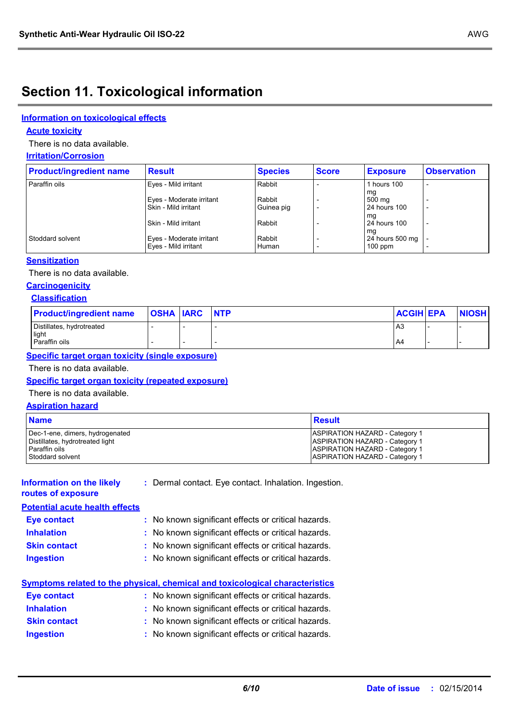# **Section 11. Toxicological information**

### **Information on toxicological effects**

### **Acute toxicity**

There is no data available.

#### **Irritation/Corrosion**

| <b>Product/ingredient name</b> | <b>Result</b>                                    | <b>Species</b>  | <b>Score</b> | <b>Exposure</b>              | <b>Observation</b>       |
|--------------------------------|--------------------------------------------------|-----------------|--------------|------------------------------|--------------------------|
| Paraffin oils                  | Eyes - Mild irritant                             | Rabbit          |              | 1 hours 100                  |                          |
|                                | Eyes - Moderate irritant                         | Rabbit          |              | mg<br>500 mg                 |                          |
|                                | Skin - Mild irritant                             | Guinea pig      |              | <b>24 hours 100</b><br>ma    | $\overline{\phantom{a}}$ |
|                                | Skin - Mild irritant                             | Rabbit          |              | <b>24 hours 100</b><br>mq    | $\overline{\phantom{a}}$ |
| Stoddard solvent               | Eyes - Moderate irritant<br>Eyes - Mild irritant | Rabbit<br>Human |              | 24 hours 500 mg<br>$100$ ppm | $\overline{\phantom{a}}$ |

### **Sensitization**

There is no data available.

### **Carcinogenicity**

### **Classification**

| <b>Product/ingredient name</b>     | <b>OSHA IARC NTP</b> | <b>ACGIH EPA</b> | <b>NIOSH</b> |  |
|------------------------------------|----------------------|------------------|--------------|--|
| Distillates, hydrotreated<br>light |                      | A <sub>3</sub>   |              |  |
| Paraffin oils                      |                      | . A4             |              |  |

#### **Specific target organ toxicity (single exposure)**

There is no data available.

### **Specific target organ toxicity (repeated exposure)**

There is no data available.

#### **Aspiration hazard**

| <b>Name</b>                                      | Result                                                                         |
|--------------------------------------------------|--------------------------------------------------------------------------------|
| Dec-1-ene, dimers, hydrogenated                  | <b>ASPIRATION HAZARD - Category 1</b>                                          |
| Distillates, hydrotreated light<br>Paraffin oils | <b>ASPIRATION HAZARD - Category 1</b><br><b>ASPIRATION HAZARD - Category 1</b> |
| Stoddard solvent                                 | <b>ASPIRATION HAZARD - Category 1</b>                                          |

#### **Information on the likely routes of exposure**

**:** Dermal contact. Eye contact. Inhalation. Ingestion.

## **Potential acute health effects**

| Eye contact         | : No known significant effects or critical hazards. |
|---------------------|-----------------------------------------------------|
| <b>Inhalation</b>   | : No known significant effects or critical hazards. |
| <b>Skin contact</b> | : No known significant effects or critical hazards. |
|                     |                                                     |

**Ingestion :** No known significant effects or critical hazards.

|                     | <b>Symptoms related to the physical, chemical and toxicological characteristics</b> |
|---------------------|-------------------------------------------------------------------------------------|
| Eye contact         | : No known significant effects or critical hazards.                                 |
| <b>Inhalation</b>   | : No known significant effects or critical hazards.                                 |
| <b>Skin contact</b> | : No known significant effects or critical hazards.                                 |
| <b>Ingestion</b>    | : No known significant effects or critical hazards.                                 |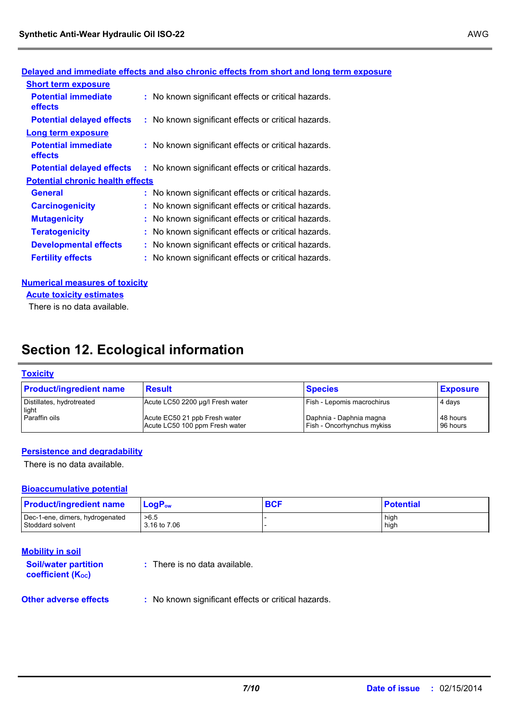| <b>Short term exposure</b>                   |                                                     |
|----------------------------------------------|-----------------------------------------------------|
| <b>Potential immediate</b><br><b>effects</b> | : No known significant effects or critical hazards. |
| <b>Potential delayed effects</b>             | : No known significant effects or critical hazards. |
| <b>Long term exposure</b>                    |                                                     |
| <b>Potential immediate</b><br><b>effects</b> | : No known significant effects or critical hazards. |
| <b>Potential delayed effects</b>             | : No known significant effects or critical hazards. |
| <b>Potential chronic health effects</b>      |                                                     |
| <b>General</b>                               | : No known significant effects or critical hazards. |
| <b>Carcinogenicity</b>                       | : No known significant effects or critical hazards. |
| <b>Mutagenicity</b>                          | : No known significant effects or critical hazards. |
| <b>Teratogenicity</b>                        | : No known significant effects or critical hazards. |
| <b>Developmental effects</b>                 | : No known significant effects or critical hazards. |
| <b>Fertility effects</b>                     | : No known significant effects or critical hazards. |

### **Delayed and immediate effects and also chronic effects from short and long term exposure**

#### **Numerical measures of toxicity**

**Acute toxicity estimates**

There is no data available.

# **Section 12. Ecological information**

#### **Toxicity**

| <b>Product/ingredient name</b>     | <b>Result</b>                                                   | <b>Species</b>                                               | <b>Exposure</b>      |
|------------------------------------|-----------------------------------------------------------------|--------------------------------------------------------------|----------------------|
| Distillates, hydrotreated<br>light | Acute LC50 2200 µg/l Fresh water                                | <b>Fish - Lepomis macrochirus</b>                            | 4 days               |
| Paraffin oils                      | Acute EC50 21 ppb Fresh water<br>Acute LC50 100 ppm Fresh water | Daphnia - Daphnia magna<br><b>Fish - Oncorhynchus mykiss</b> | 48 hours<br>96 hours |

### **Persistence and degradability**

There is no data available.

### **Bioaccumulative potential**

| <b>Product/ingredient name</b>  | $LoaPow$     | <b>BCF</b> | <b>Potential</b> |
|---------------------------------|--------------|------------|------------------|
| Dec-1-ene, dimers, hydrogenated | >6.5         |            | high             |
| Stoddard solvent                | 3.16 to 7.06 |            | high             |

| <b>Mobility in soil</b> |
|-------------------------|
|-------------------------|

**Other adverse effects** : No known significant effects or critical hazards. **Soil/water partition coefficient (KOC) :** There is no data available.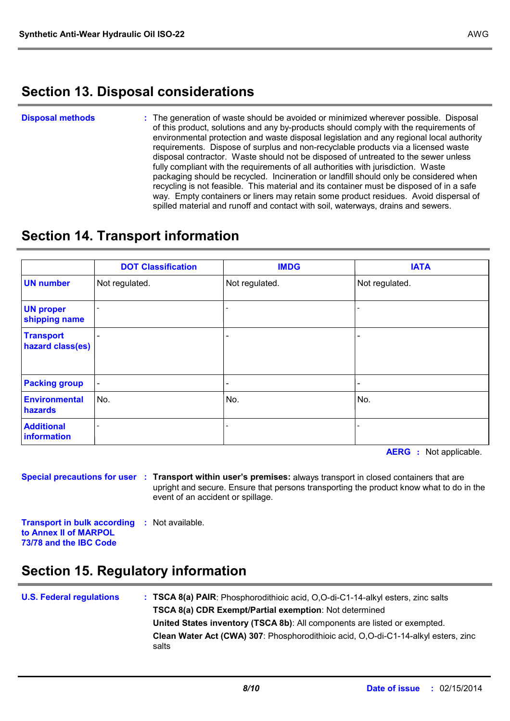# **Section 13. Disposal considerations**

The generation of waste should be avoided or minimized wherever possible. Disposal of this product, solutions and any by-products should comply with the requirements of environmental protection and waste disposal legislation and any regional local authority requirements. Dispose of surplus and non-recyclable products via a licensed waste disposal contractor. Waste should not be disposed of untreated to the sewer unless fully compliant with the requirements of all authorities with jurisdiction. Waste packaging should be recycled. Incineration or landfill should only be considered when recycling is not feasible. This material and its container must be disposed of in a safe way. Empty containers or liners may retain some product residues. Avoid dispersal of spilled material and runoff and contact with soil, waterways, drains and sewers. **Disposal methods :**

# **Section 14. Transport information**

|                                      | <b>DOT Classification</b> | <b>IMDG</b>    | <b>IATA</b>    |
|--------------------------------------|---------------------------|----------------|----------------|
| <b>UN number</b>                     | Not regulated.            | Not regulated. | Not regulated. |
| <b>UN proper</b><br>shipping name    |                           |                |                |
| <b>Transport</b><br>hazard class(es) |                           |                |                |
| <b>Packing group</b>                 |                           |                |                |
| <b>Environmental</b><br>hazards      | No.                       | No.            | No.            |
| <b>Additional</b><br>information     |                           |                |                |

**AERG :** Not applicable.

**Special precautions for user Transport within user's premises:** always transport in closed containers that are **:** upright and secure. Ensure that persons transporting the product know what to do in the event of an accident or spillage.

**Transport in bulk according to Annex II of MARPOL 73/78 and the IBC Code :** Not available.

# **Section 15. Regulatory information**

| <b>U.S. Federal regulations</b> | : TSCA 8(a) PAIR: Phosphorodithioic acid, O,O-di-C1-14-alkyl esters, zinc salts             |
|---------------------------------|---------------------------------------------------------------------------------------------|
|                                 | TSCA 8(a) CDR Exempt/Partial exemption: Not determined                                      |
|                                 | United States inventory (TSCA 8b): All components are listed or exempted.                   |
|                                 | Clean Water Act (CWA) 307: Phosphorodithioic acid, O,O-di-C1-14-alkyl esters, zinc<br>salts |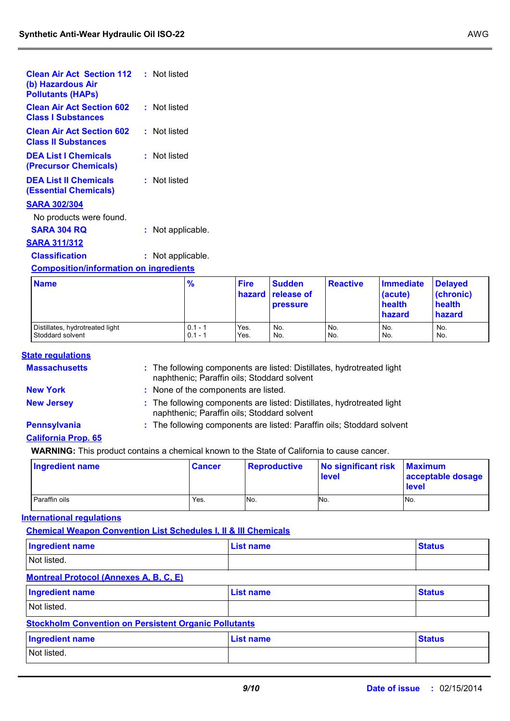| <b>Clean Air Act Section 112</b><br>(b) Hazardous Air<br><b>Pollutants (HAPS)</b> | : Not listed    |  |  |  |
|-----------------------------------------------------------------------------------|-----------------|--|--|--|
| <b>Clean Air Act Section 602</b><br><b>Class I Substances</b>                     | : Not listed    |  |  |  |
| <b>Clean Air Act Section 602</b><br><b>Class II Substances</b>                    | : Not listed    |  |  |  |
| <b>DEA List I Chemicals</b><br>(Precursor Chemicals)                              | : Not listed    |  |  |  |
| <b>DEA List II Chemicals</b><br>(Essential Chemicals)                             | : Not listed    |  |  |  |
| <b>SARA 302/304</b>                                                               |                 |  |  |  |
| No products were found.                                                           |                 |  |  |  |
| <b>SARA 304 RO</b>                                                                | Not applicable. |  |  |  |
| <u>SARA 311/312</u>                                                               |                 |  |  |  |
| <b>Classification</b>                                                             | Not applicable. |  |  |  |
| <b>Composition/information on ingredients</b>                                     |                 |  |  |  |

| <b>Name</b>                     | $\frac{9}{6}$ | <b>Fire</b> | <b>Sudden</b><br><b>hazard release of</b><br><b>pressure</b> | <b>Reactive</b> | <b>Immediate</b><br>(acute)<br>health<br>hazard | <b>Delayed</b><br>(chronic)<br>health<br>hazard |
|---------------------------------|---------------|-------------|--------------------------------------------------------------|-----------------|-------------------------------------------------|-------------------------------------------------|
| Distillates, hydrotreated light | $0.1 - 1$     | Yes.        | No.                                                          | No.             | No.                                             | No.                                             |
| Stoddard solvent                | $0.1 - 1$     | Yes.        | No.                                                          | No.             | No.                                             | No.                                             |

### **State regulations**

| <b>Massachusetts</b> | : The following components are listed: Distillates, hydrotreated light<br>naphthenic; Paraffin oils; Stoddard solvent |
|----------------------|-----------------------------------------------------------------------------------------------------------------------|
| <b>New York</b>      | : None of the components are listed.                                                                                  |

- 
- 
- **New Jersey :** The following components are listed: Distillates, hydrotreated light naphthenic; Paraffin oils; Stoddard solvent
- 
- **Pennsylvania :** The following components are listed: Paraffin oils; Stoddard solvent

### **California Prop. 65**

**WARNING:** This product contains a chemical known to the State of California to cause cancer.

| Ingredient name | ∣ Cancer | <b>Reproductive</b> | No significant risk Maximum<br><b>level</b> | acceptable dosage<br><b>level</b> |
|-----------------|----------|---------------------|---------------------------------------------|-----------------------------------|
| Paraffin oils   | Yes.     | No.                 | No.                                         | No.                               |

### **International regulations**

**Chemical Weapon Convention List Schedules I, II & III Chemicals**

| Ingredient name | List name | <b>Status</b> |
|-----------------|-----------|---------------|
| Not listed.     |           |               |

### **Montreal Protocol (Annexes A, B, C, E)**

| <b>Ingredient name</b>                                       | List name | <b>Status</b> |  |
|--------------------------------------------------------------|-----------|---------------|--|
| Not listed.                                                  |           |               |  |
| <b>Stockholm Convention on Persistent Organic Pollutants</b> |           |               |  |

| <b>Ingredient name</b> | <b>List name</b> | <b>Status</b> |
|------------------------|------------------|---------------|
| Not listed.            |                  |               |